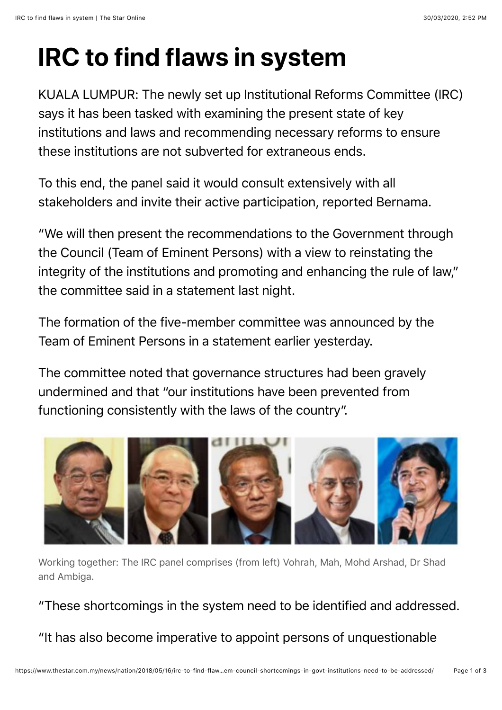## **IRC to find flaws in system**

KUALA LUMPUR: The newly set up Institutional Reforms Committee (IRC) says it has been tasked with examining the present state of key institutions and laws and recommending necessary reforms to ensure these institutions are not subverted for extraneous ends.

To this end, the panel said it would consult extensively with all stakeholders and invite their active participation, reported Bernama.

"We will then present the recommendations to the Government through the Council (Team of Eminent Persons) with a view to reinstating the integrity of the institutions and promoting and enhancing the rule of law," the committee said in a statement last night.

The formation of the five-member committee was announced by the Team of Eminent Persons in a statement earlier yesterday.

The committee noted that governance structures had been gravely undermined and that "our institutions have been prevented from functioning consistently with the laws of the country".



Working together: The IRC panel comprises (from left) Vohrah, Mah, Mohd Arshad, Dr Shad and Ambiga.

"These shortcomings in the system need to be identified and addressed.

"It has also become imperative to appoint persons of unquestionable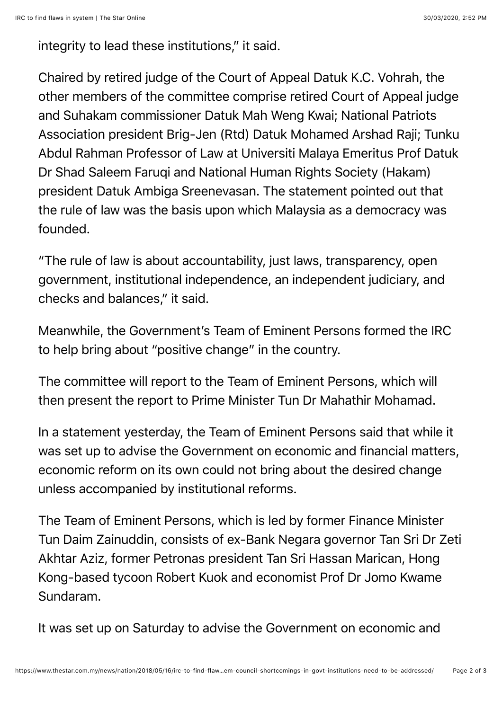integrity to lead these institutions," it said.

Chaired by retired judge of the Court of Appeal Datuk K.C. Vohrah, the other members of the committee comprise retired Court of Appeal judge and Suhakam commissioner Datuk Mah Weng Kwai; National Patriots Association president Brig-Jen (Rtd) Datuk Mohamed Arshad Raji; Tunku Abdul Rahman Professor of Law at Universiti Malaya Emeritus Prof Datuk Dr Shad Saleem Faruqi and National Human Rights Society (Hakam) president Datuk Ambiga Sreenevasan. The statement pointed out that the rule of law was the basis upon which Malaysia as a democracy was founded.

"The rule of law is about accountability, just laws, transparency, open government, institutional independence, an independent judiciary, and checks and balances," it said.

Meanwhile, the Government's Team of Eminent Persons formed the IRC to help bring about "positive change" in the country.

The committee will report to the Team of Eminent Persons, which will then present the report to Prime Minister Tun Dr Mahathir Mohamad.

In a statement yesterday, the Team of Eminent Persons said that while it was set up to advise the Government on economic and financial matters, economic reform on its own could not bring about the desired change unless accompanied by institutional reforms.

The Team of Eminent Persons, which is led by former Finance Minister Tun Daim Zainuddin, consists of ex-Bank Negara governor Tan Sri Dr Zeti Akhtar Aziz, former Petronas president Tan Sri Hassan Marican, Hong Kong-based tycoon Robert Kuok and economist Prof Dr Jomo Kwame Sundaram.

It was set up on Saturday to advise the Government on economic and